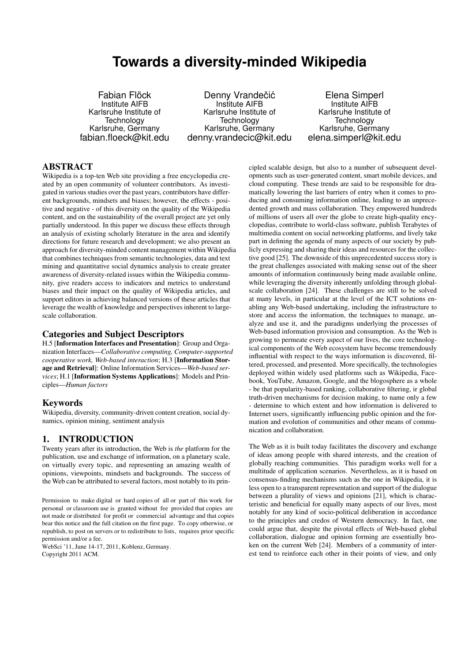# **Towards a diversity-minded Wikipedia**

Fabian Flöck Institute AIFB Karlsruhe Institute of Technology Karlsruhe, Germany fabian.floeck@kit.edu

Denny Vrandečić Institute AIFB Karlsruhe Institute of Technology Karlsruhe, Germany denny.vrandecic@kit.edu

Elena Simperl Institute AIFB Karlsruhe Institute of Technology Karlsruhe, Germany elena.simperl@kit.edu

## ABSTRACT

Wikipedia is a top-ten Web site providing a free encyclopedia created by an open community of volunteer contributors. As investigated in various studies over the past years, contributors have different backgrounds, mindsets and biases; however, the effects - positive and negative - of this diversity on the quality of the Wikipedia content, and on the sustainability of the overall project are yet only partially understood. In this paper we discuss these effects through an analysis of existing scholarly literature in the area and identify directions for future research and development; we also present an approach for diversity-minded content management within Wikipedia that combines techniques from semantic technologies, data and text mining and quantitative social dynamics analysis to create greater awareness of diversity-related issues within the Wikipedia community, give readers access to indicators and metrics to understand biases and their impact on the quality of Wikipedia articles, and support editors in achieving balanced versions of these articles that leverage the wealth of knowledge and perspectives inherent to largescale collaboration.

#### Categories and Subject Descriptors

H.5 [Information Interfaces and Presentation]: Group and Organization Interfaces—*Collaborative computing, Computer-supported cooperative work, Web-based interaction*; H.3 [Information Storage and Retrieval]: Online Information Services—*Web-based services*; H.1 [Information Systems Applications]: Models and Principles—*Human factors*

#### Keywords

Wikipedia, diversity, community-driven content creation, social dynamics, opinion mining, sentiment analysis

#### <span id="page-0-0"></span>1. INTRODUCTION

Twenty years after its introduction, the Web is *the* platform for the publication, use and exchange of information, on a planetary scale, on virtually every topic, and representing an amazing wealth of opinions, viewpoints, mindsets and backgrounds. The success of the Web can be attributed to several factors, most notably to its prin-

Permission to make digital or hard copies of all or part of this work for personal or classroom use is granted without fee provided that copies are not made or distributed for profit or commercial advantage and that copies bear this notice and the full citation on the first page. To copy otherwise, or republish, to post on servers or to redistribute to lists, requires prior specific permission and/or a fee.

WebSci '11, June 14-17, 2011, Koblenz, Germany. Copyright 2011 ACM.

cipled scalable design, but also to a number of subsequent developments such as user-generated content, smart mobile devices, and cloud computing. These trends are said to be responsible for dramatically lowering the last barriers of entry when it comes to producing and consuming information online, leading to an unprecedented growth and mass collaboration. They empowered hundreds of millions of users all over the globe to create high-quality encyclopedias, contribute to world-class software, publish Terabytes of multimedia content on social networking platforms, and lively take part in defining the agenda of many aspects of our society by publicly expressing and sharing their ideas and resources for the collective good [\[25\]](#page-6-0). The downside of this unprecedented success story is the great challenges associated with making sense out of the sheer amounts of information continuously being made available online, while leveraging the diversity inherently unfolding through globalscale collaboration [\[24\]](#page-6-1). These challenges are still to be solved at many levels, in particular at the level of the ICT solutions enabling any Web-based undertaking, including the infrastructure to store and access the information, the techniques to manage, analyze and use it, and the paradigms underlying the processes of Web-based information provision and consumption. As the Web is growing to permeate every aspect of our lives, the core technological components of the Web ecosystem have become tremendously influential with respect to the ways information is discovered, filtered, processed, and presented. More specifically, the technologies deployed within widely used platforms such as Wikipedia, Facebook, YouTube, Amazon, Google, and the blogosphere as a whole - be that popularity-based ranking, collaborative filtering, ir global truth-driven mechanisms for decision making, to name only a few - determine to which extent and how information is delivered to Internet users, significantly influencing public opinion and the formation and evolution of communities and other means of communication and collaboration.

The Web as it is built today facilitates the discovery and exchange of ideas among people with shared interests, and the creation of globally reaching communities. This paradigm works well for a multitude of application scenarios. Nevertheless, as it is based on consensus-finding mechanisms such as the one in Wikipedia, it is less open to a transparent representation and support of the dialogue between a plurality of views and opinions [\[21\]](#page-6-2), which is characteristic and beneficial for equally many aspects of our lives, most notably for any kind of socio-political deliberation in accordance to the principles and credos of Western democracy. In fact, one could argue that, despite the pivotal effects of Web-based global collaboration, dialogue and opinion forming are essentially broken on the current Web [\[24\]](#page-6-1). Members of a community of interest tend to reinforce each other in their points of view, and only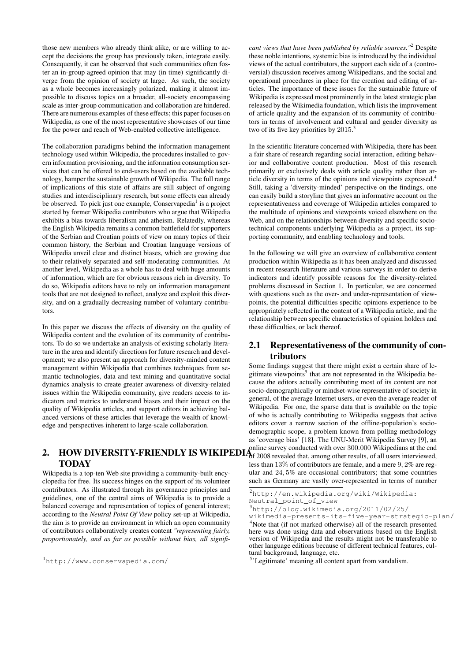those new members who already think alike, or are willing to accept the decisions the group has previously taken, integrate easily. Consequently, it can be observed that such communities often foster an in-group agreed opinion that may (in time) significantly diverge from the opinion of society at large. As such, the society as a whole becomes increasingly polarized, making it almost impossible to discuss topics on a broader, all-society encompassing scale as inter-group communication and collaboration are hindered. There are numerous examples of these effects; this paper focuses on Wikipedia, as one of the most representative showcases of our time for the power and reach of Web-enabled collective intelligence.

The collaboration paradigms behind the information management technology used within Wikipedia, the procedures installed to govern information provisioning, and the information consumption services that can be offered to end-users based on the available technology, hamper the sustainable growth of Wikipedia. The full range of implications of this state of affairs are still subject of ongoing studies and interdisciplinary research, but some effects can already be observed. To pick just one example, Conservapedia<sup>1</sup> is a project started by former Wikipedia contributors who argue that Wikipedia exhibits a bias towards liberalism and atheism. Relatedly, whereas the English Wikipedia remains a common battlefield for supporters of the Serbian and Croatian points of view on many topics of their common history, the Serbian and Croatian language versions of Wikipedia unveil clear and distinct biases, which are growing due to their relatively separated and self-moderating communities. At another level, Wikipedia as a whole has to deal with huge amounts of information, which are for obvious reasons rich in diversity. To do so, Wikipedia editors have to rely on information management tools that are not designed to reflect, analyze and exploit this diversity, and on a gradually decreasing number of voluntary contributors.

In this paper we discuss the effects of diversity on the quality of Wikipedia content and the evolution of its community of contributors. To do so we undertake an analysis of existing scholarly literature in the area and identify directions for future research and development; we also present an approach for diversity-minded content management within Wikipedia that combines techniques from semantic technologies, data and text mining and quantitative social dynamics analysis to create greater awareness of diversity-related issues within the Wikipedia community, give readers access to indicators and metrics to understand biases and their impact on the quality of Wikipedia articles, and support editors in achieving balanced versions of these articles that leverage the wealth of knowledge and perspectives inherent to large-scale collaboration.

# **2. HOW DIVERSITY-FRIENDLY IS WIKIPEDIA**  $\frac{1}{2008}$  revealed that, among other results, of all users interviewed, TODAY

Wikipedia is a top-ten Web site providing a community-built encyclopedia for free. Its success hinges on the support of its volunteer contributors. As illustrated through its governance principles and guidelines, one of the central aims of Wikipedia is to provide a balanced coverage and representation of topics of general interest; according to the *Neutral Point Of View* policy set-up at Wikipedia, the aim is to provide an environment in which an open community of contributors collaboratively creates content *"representing fairly, proportionately, and as far as possible without bias, all signifi-* *cant views that have been published by reliable sources."*[2](#page-1-1) Despite these noble intentions, systemic bias is introduced by the individual views of the actual contributors, the support each side of a (controversial) discussion receives among Wikipedians, and the social and operational procedures in place for the creation and editing of articles. The importance of these issues for the sustainable future of Wikipedia is expressed most prominently in the latest strategic plan released by the Wikimedia foundation, which lists the improvement of article quality and the expansion of its community of contributors in terms of involvement and cultural and gender diversity as two of its five key priorities by 2015.<sup>[3](#page-1-2)</sup>

In the scientific literature concerned with Wikipedia, there has been a fair share of research regarding social interaction, editing behavior and collaborative content production. Most of this research primarily or exclusively deals with article quality rather than article diversity in terms of the opinions and viewpoints expressed.<sup>4</sup> Still, taking a 'diversity-minded' perspective on the findings, one can easily build a storyline that gives an informative account on the representativeness and coverage of Wikipedia articles compared to the multitude of opinions and viewpoints voiced elsewhere on the Web, and on the relationships between diversity and specific sociotechnical components underlying Wikipedia as a project, its supporting community, and enabling technology and tools.

In the following we will give an overview of collaborative content production within Wikipedia as it has been analyzed and discussed in recent research literature and various surveys in order to derive indicators and identify possible reasons for the diversity-related problems discussed in Section [1.](#page-0-0) In particular, we are concerned with questions such as the over- and under-representation of viewpoints, the potential difficulties specific opinions experience to be appropriately reflected in the content of a Wikipedia article, and the relationship between specific characteristics of opinion holders and these difficulties, or lack thereof.

## 2.1 Representativeness of the community of contributors

Some findings suggest that there might exist a certain share of legitimate viewpoints<sup>5</sup> that are not represented in the Wikipedia because the editors actually contributing most of its content are not socio-demographically or mindset-wise representative of society in general, of the average Internet users, or even the average reader of Wikipedia. For one, the sparse data that is available on the topic of who is actually contributing to Wikipedia suggests that active editors cover a narrow section of the offline-population's sociodemographic scope, a problem known from polling methodology as 'coverage bias' [\[18\]](#page-6-3). The UNU-Merit Wikipedia Survey [\[9\]](#page-6-4), an online survey conducted with over 300*.*000 Wikipedians at the end

less than 13% of contributors are female, and a mere 9*,* 2% are regular and 24*,* 5% are occasional contributors; that some countries such as Germany are vastly over-represented in terms of number

<span id="page-1-0"></span><sup>1</sup> <http://www.conservapedia.com/>

<span id="page-1-1"></span><sup>2</sup> [http://en.wikipedia.org/wiki/Wikipedia:](http://en.wikipedia.org/wiki/Wikipedia:Neutral_point_of_view) [Neutral\\_point\\_of\\_view](http://en.wikipedia.org/wiki/Wikipedia:Neutral_point_of_view)

<span id="page-1-2"></span><sup>3</sup> [http://blog.wikimedia.org/2011/02/25/](http://blog.wikimedia.org/2011/02/25/wikimedia-presents-its-five-year-strategic-plan/) [wikimedia-presents-its-five-year-strategic-plan/](http://blog.wikimedia.org/2011/02/25/wikimedia-presents-its-five-year-strategic-plan/)

<span id="page-1-3"></span><sup>4</sup> Note that (if not marked otherwise) all of the research presented here was done using data and observations based on the English version of Wikipedia and the results might not be transferable to other language editions because of different technical features, cultural background, language, etc.

<span id="page-1-4"></span><sup>&</sup>lt;sup>5</sup>'Legitimate' meaning all content apart from vandalism.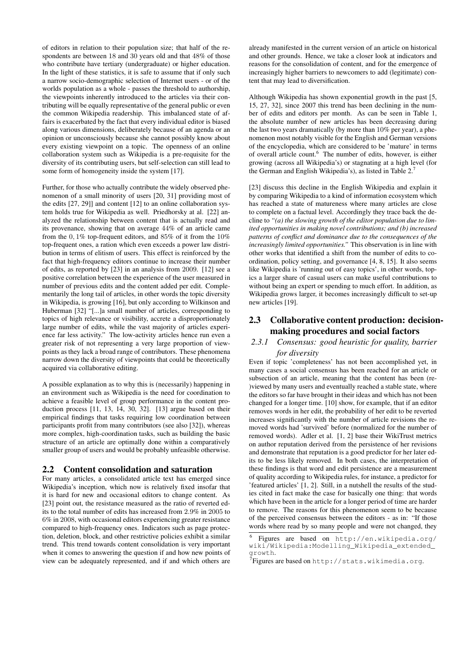of editors in relation to their population size; that half of the respondents are between 18 and 30 years old and that 48% of those who contribute have tertiary (undergraduate) or higher education. In the light of these statistics, it is safe to assume that if only such a narrow socio-demographic selection of Internet users - or of the worlds population as a whole - passes the threshold to authorship, the viewpoints inherently introduced to the articles via their contributing will be equally representative of the general public or even the common Wikipedia readership. This imbalanced state of affairs is exacerbated by the fact that every individual editor is biased along various dimensions, deliberately because of an agenda or an opinion or unconsciously because she cannot possibly know about every existing viewpoint on a topic. The openness of an online collaboration system such as Wikipedia is a pre-requisite for the diversity of its contributing users, but self-selection can still lead to some form of homogeneity inside the system [\[17\]](#page-6-5).

Further, for those who actually contribute the widely observed phenomenon of a small minority of users [\[20,](#page-6-6) [31\]](#page-7-0) providing most of the edits [\[27,](#page-7-1) [29\]](#page-7-2)] and content [\[12\]](#page-6-7) to an online collaboration system holds true for Wikipedia as well. Priedhorsky at al. [\[22\]](#page-6-8) analyzed the relationship between content that is actually read and its provenance, showing that on average 44% of an article came from the 0*,* 1% top-frequent editors, and 85% of it from the 10% top-frequent ones, a ration which even exceeds a power law distribution in terms of elitism of users. This effect is reinforced by the fact that high-frequency editors continue to increase their number of edits, as reported by [\[23\]](#page-6-9) in an analysis from 2009. [\[12\]](#page-6-7) see a positive correlation between the experience of the user measured in number of previous edits and the content added per edit. Complementarily the long tail of articles, in other words the topic diversity in Wikipedia, is growing [\[16\]](#page-6-10), but only according to Wilkinson and Huberman [\[32\]](#page-7-3) "[...]a small number of articles, corresponding to topics of high relevance or visibility, accrete a disproportionately large number of edits, while the vast majority of articles experience far less activity." The low-activity articles hence run even a greater risk of not representing a very large proportion of viewpoints as they lack a broad range of contributors. These phenomena narrow down the diversity of viewpoints that could be theoretically acquired via collaborative editing.

A possible explanation as to why this is (necessarily) happening in an environment such as Wikipedia is the need for coordination to achieve a feasible level of group performance in the content production process [\[11,](#page-6-11) [13,](#page-6-12) [14,](#page-6-13) [30,](#page-7-4) [32\]](#page-7-3). [\[13\]](#page-6-12) argue based on their empirical findings that tasks requiring low coordination between participants profit from many contributors (see also [\[32\]](#page-7-3)), whereas more complex, high-coordination tasks, such as building the basic structure of an article are optimally done within a comparatively smaller group of users and would be probably unfeasible otherwise.

#### 2.2 Content consolidation and saturation

For many articles, a consolidated article text has emerged since Wikipedia's inception, which now is relatively fixed insofar that it is hard for new and occasional editors to change content. As [\[23\]](#page-6-9) point out, the resistance measured as the ratio of reverted edits to the total number of edits has increased from 2*.*9% in 2005 to 6% in 2008, with occasional editors experiencing greater resistance compared to high-frequency ones. Indicators such as page protection, deletion, block, and other restrictive policies exhibit a similar trend. This trend towards content consolidation is very important when it comes to answering the question if and how new points of view can be adequately represented, and if and which others are already manifested in the current version of an article on historical and other grounds. Hence, we take a closer look at indicators and reasons for the consolidation of content, and for the emergence of increasingly higher barriers to newcomers to add (legitimate) content that may lead to diversification.

Although Wikipedia has shown exponential growth in the past [\[5,](#page-6-14) [15,](#page-6-15) [27,](#page-7-1) [32\]](#page-7-3), since 2007 this trend has been declining in the number of edits and editors per month. As can be seen in Table [1,](#page-3-0) the absolute number of new articles has been decreasing during the last two years dramatically (by more than 10% per year), a phenomenon most notably visible for the English and German versions of the encyclopedia, which are considered to be 'mature' in terms of overall article count.<sup>6</sup> The number of edits, however, is either growing (across all Wikipedia's) or stagnating at a high level (for the German and English Wikipedia's), as listed in Table [2](#page-3-1)[.7](#page-2-1)

[\[23\]](#page-6-9) discuss this decline in the English Wikipedia and explain it by comparing Wikipedia to a kind of information ecosystem which has reached a state of matureness where many articles are close to complete on a factual level. Accordingly they trace back the decline to *"(a) the slowing growth of the editor population due to limited opportunities in making novel contributions; and (b) increased patterns of conflict and dominance due to the consequences of the increasingly limited opportunities."* This observation is in line with other works that identified a shift from the number of edits to coordination, policy setting, and governance [\[4,](#page-6-16) [8,](#page-6-17) [15\]](#page-6-15). It also seems like Wikipedia is 'running out of easy topics', in other words, topics a larger share of casual users can make useful contributions to without being an expert or spending to much effort. In addition, as Wikipedia grows larger, it becomes increasingly difficult to set-up new articles [\[19\]](#page-6-18).

## 2.3 Collaborative content production: decisionmaking procedures and social factors

## *2.3.1 Consensus: good heuristic for quality, barrier for diversity*

Even if topic 'completeness' has not been accomplished yet, in many cases a social consensus has been reached for an article or subsection of an article, meaning that the content has been (re- )viewed by many users and eventually reached a stable state, where the editors so far have brought in their ideas and which has not been changed for a longer time. [\[10\]](#page-6-19) show, for example, that if an editor removes words in her edit, the probability of her edit to be reverted increases significantly with the number of article revisions the removed words had 'survived' before (normalized for the number of removed words). Adler et al. [\[1,](#page-6-20) [2\]](#page-6-21) base their WikiTrust metrics on author reputation derived from the persistence of her revisions and demonstrate that reputation is a good predictor for her later edits to be less likely removed. In both cases, the interpretation of these findings is that word and edit persistence are a measurement of quality according to Wikipedia rules, for instance, a predictor for 'featured articles' [\[1,](#page-6-20) [2\]](#page-6-21). Still, in a nutshell the results of the studies cited in fact make the case for basically one thing: that words which have been in the article for a longer period of time are harder to remove. The reasons for this phenomenon seem to be because of the perceived consensus between the editors - as in: "If those words where read by so many people and were not changed, they

<span id="page-2-0"></span> $6$  Figures are based on [http://en.wikipedia.org/](http://en.wikipedia.org/wiki/Wikipedia:Modelling_Wikipedia_extended_growth) [wiki/Wikipedia:Modelling\\_Wikipedia\\_extended\\_](http://en.wikipedia.org/wiki/Wikipedia:Modelling_Wikipedia_extended_growth) [growth](http://en.wikipedia.org/wiki/Wikipedia:Modelling_Wikipedia_extended_growth). <sup>7</sup>

<span id="page-2-1"></span>Figures are based on <http://stats.wikimedia.org>.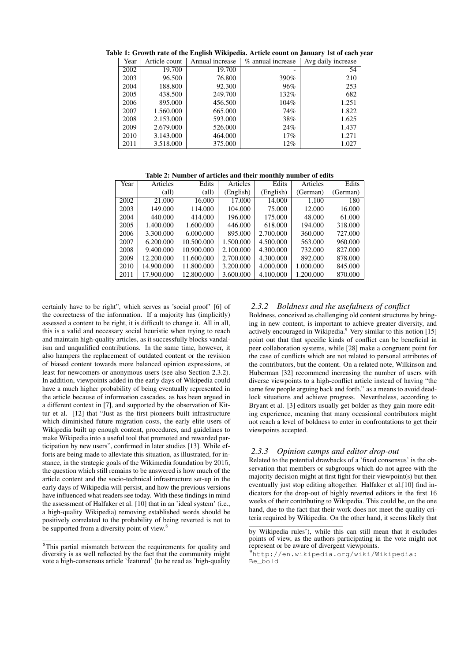Table 1: Growth rate of the English Wikipedia. Article count on January 1st of each year

<span id="page-3-0"></span>

| Year | Article count | Annual increase | % annual increase | Avg daily increase |
|------|---------------|-----------------|-------------------|--------------------|
| 2002 | 19.700        | 19.700          |                   | 54                 |
| 2003 | 96.500        | 76.800          | 390%              | 210                |
| 2004 | 188.800       | 92.300          | 96%               | 253                |
| 2005 | 438.500       | 249.700         | 132%              | 682                |
| 2006 | 895.000       | 456.500         | 104%              | 1.251              |
| 2007 | 1.560.000     | 665.000         | 74%               | 1.822              |
| 2008 | 2.153.000     | 593.000         | 38%               | 1.625              |
| 2009 | 2.679.000     | 526,000         | 24%               | 1.437              |
| 2010 | 3.143.000     | 464.000         | 17%               | 1.271              |
| 2011 | 3.518.000     | 375,000         | 12%               | 1.027              |

<span id="page-3-1"></span>Table 2: Number of articles and their monthly number of edits

| Year | Articles   | Edits      | Articles  | Edits     | Articles  | Edits    |
|------|------------|------------|-----------|-----------|-----------|----------|
|      | (all)      | (all)      | (English) | English)  | (German)  | (German) |
| 2002 | 21.000     | 16.000     | 17.000    | 14.000    | 1.100     | 180      |
| 2003 | 149.000    | 114.000    | 104.000   | 75,000    | 12.000    | 16.000   |
| 2004 | 440.000    | 414.000    | 196.000   | 175.000   | 48.000    | 61.000   |
| 2005 | 1.400.000  | 1.600.000  | 446.000   | 618,000   | 194.000   | 318.000  |
| 2006 | 3.300.000  | 6.000.000  | 895.000   | 2.700.000 | 360.000   | 727.000  |
| 2007 | 6.200.000  | 10.500.000 | 1.500.000 | 4.500.000 | 563.000   | 960.000  |
| 2008 | 9.400.000  | 10.900.000 | 2.100.000 | 4.300.000 | 732.000   | 827.000  |
| 2009 | 12.200.000 | 11.600.000 | 2.700.000 | 4.300.000 | 892.000   | 878.000  |
| 2010 | 14.900.000 | 11.800.000 | 3.200.000 | 4.000.000 | 1.000.000 | 845.000  |
| 2011 | 17.900.000 | 12.800.000 | 3.600.000 | 4.100.000 | 1.200.000 | 870.000  |

certainly have to be right", which serves as 'social proof' [\[6\]](#page-6-22) of the correctness of the information. If a majority has (implicitly) assessed a content to be right, it is difficult to change it. All in all, this is a valid and necessary social heuristic when trying to reach and maintain high-quality articles, as it successfully blocks vandalism and unqualified contributions. In the same time, however, it also hampers the replacement of outdated content or the revision of biased content towards more balanced opinion expressions, at least for newcomers or anonymous users (see also Section [2.3.2\)](#page-3-2). In addition, viewpoints added in the early days of Wikipedia could have a much higher probability of being eventually represented in the article because of information cascades, as has been argued in a different context in [\[7\]](#page-6-23), and supported by the observation of Kittur et al. [\[12\]](#page-6-7) that "Just as the first pioneers built infrastructure which diminished future migration costs, the early elite users of Wikipedia built up enough content, procedures, and guidelines to make Wikipedia into a useful tool that promoted and rewarded participation by new users", confirmed in later studies [\[13\]](#page-6-12). While efforts are being made to alleviate this situation, as illustrated, for instance, in the strategic goals of the Wikimedia foundation by 2015, the question which still remains to be answered is how much of the article content and the socio-technical infrastructure set-up in the early days of Wikipedia will persist, and how the previous versions have influenced what readers see today. With these findings in mind the assessment of Halfaker et al. [\[10\]](#page-6-19) that in an 'ideal system' (i.e., a high-quality Wikipedia) removing established words should be positively correlated to the probability of being reverted is not to be supported from a diversity point of view.<sup>8</sup>

## <span id="page-3-2"></span>*2.3.2 Boldness and the usefulness of conflict*

Boldness, conceived as challenging old content structures by bringing in new content, is important to achieve greater diversity, and actively encouraged in Wikipedia.<sup>[9](#page-3-4)</sup> Very similar to this notion [\[15\]](#page-6-15) point out that that specific kinds of conflict can be beneficial in peer collaboration systems, while [\[28\]](#page-7-5) make a congruent point for the case of conflicts which are not related to personal attributes of the contributors, but the content. On a related note, Wilkinson and Huberman [\[32\]](#page-7-3) recommend increasing the number of users with diverse viewpoints to a high-conflict article instead of having "the same few people arguing back and forth." as a means to avoid deadlock situations and achieve progress. Nevertheless, according to Bryant et al. [\[3\]](#page-6-24) editors usually get bolder as they gain more editing experience, meaning that many occasional contributors might not reach a level of boldness to enter in confrontations to get their viewpoints accepted.

#### *2.3.3 Opinion camps and editor drop-out*

Related to the potential drawbacks of a 'fixed consensus' is the observation that members or subgroups which do not agree with the majority decision might at first fight for their viewpoint(s) but then eventually just stop editing altogether. Halfaker et al.[\[10\]](#page-6-19) find indicators for the drop-out of highly reverted editors in the first 16 weeks of their contributing to Wikipedia. This could be, on the one hand, due to the fact that their work does not meet the quality criteria required by Wikipedia. On the other hand, it seems likely that

<span id="page-3-3"></span><sup>&</sup>lt;sup>8</sup>This partial mismatch between the requirements for quality and diversity is as well reflected by the fact that the community might vote a high-consensus article 'featured' (to be read as 'high-quality

by Wikipedia rules'), while this can still mean that it excludes points of view, as the authors participating in the vote might not represent or be aware of divergent viewpoints.

<span id="page-3-4"></span><sup>9</sup> [http://en.wikipedia.org/wiki/Wikipedia:](http://en.wikipedia.org/wiki/Wikipedia:Be_bold) [Be\\_bold](http://en.wikipedia.org/wiki/Wikipedia:Be_bold)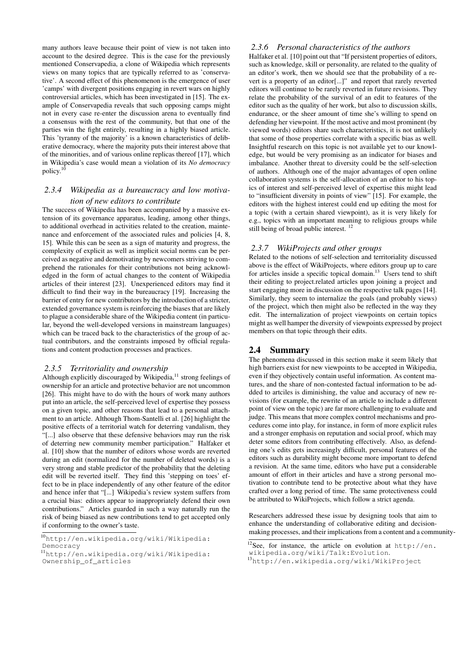many authors leave because their point of view is not taken into account to the desired degree. This is the case for the previously mentioned Conservapedia, a clone of Wikipedia which represents views on many topics that are typically referred to as 'conservative'. A second effect of this phenomenon is the emergence of user 'camps' with divergent positions engaging in revert wars on highly controversial articles, which has been investigated in [\[15\]](#page-6-15). The example of Conservapedia reveals that such opposing camps might not in every case re-enter the discussion arena to eventually find a consensus with the rest of the community, but that one of the parties win the fight entirely, resulting in a highly biased article. This 'tyranny of the majority' is a known characteristics of deliberative democracy, where the majority puts their interest above that of the minorities, and of various online replicas thereof [\[17\]](#page-6-5), which in Wikipedia's case would mean a violation of its *No democracy* policy.<sup>10</sup>

# *2.3.4 Wikipedia as a bureaucracy and low motivation of new editors to contribute*

The success of Wikipedia has been accompanied by a massive extension of its governance apparatus, leading, among other things, to additional overhead in activities related to the creation, maintenance and enforcement of the associated rules and policies [\[4,](#page-6-16) [8,](#page-6-17) [15\]](#page-6-15). While this can be seen as a sign of maturity and progress, the complexity of explicit as well as implicit social norms can be perceived as negative and demotivating by newcomers striving to comprehend the rationales for their contributions not being acknowledged in the form of actual changes to the content of Wikipedia articles of their interest [\[23\]](#page-6-9). Unexperienced editors may find it difficult to find their way in the bureaucracy [\[19\]](#page-6-18). Increasing the barrier of entry for new contributors by the introduction of a stricter, extended governance system is reinforcing the biases that are likely to plague a considerable share of the Wikipedia content (in particular, beyond the well-developed versions in mainstream languages) which can be traced back to the characteristics of the group of actual contributors, and the constraints imposed by official regulations and content production processes and practices.

#### *2.3.5 Territoriality and ownership*

Although explicitly discouraged by Wikipedia,<sup>[11](#page-4-1)</sup> strong feelings of ownership for an article and protective behavior are not uncommon [\[26\]](#page-6-25). This might have to do with the hours of work many authors put into an article, the self-perceived level of expertise they possess on a given topic, and other reasons that lead to a personal attachment to an article. Although Thom-Santelli et al. [\[26\]](#page-6-25) highlight the positive effects of a territorial watch for deterring vandalism, they "[...] also observe that these defensive behaviors may run the risk of deterring new community member participation." Halfaker et al. [\[10\]](#page-6-19) show that the number of editors whose words are reverted during an edit (normalized for the number of deleted words) is a very strong and stable predictor of the probability that the deleting edit will be reverted itself. They find this 'stepping on toes' effect to be in place independently of any other feature of the editor and hence infer that "[...] Wikipedia's review system suffers from a crucial bias: editors appear to inappropriately defend their own contributions." Articles guarded in such a way naturally run the risk of being biased as new contributions tend to get accepted only if conforming to the owner's taste.

#### *2.3.6 Personal characteristics of the authors*

Halfaker et al. [\[10\]](#page-6-19) point out that "If persistent properties of editors, such as knowledge, skill or personality, are related to the quality of an editor's work, then we should see that the probability of a revert is a property of an editor[...]" and report that rarely reverted editors will continue to be rarely reverted in future revisions. They relate the probability of the survival of an edit to features of the editor such as the quality of her work, but also to discussion skills, endurance, or the sheer amount of time she's willing to spend on defending her viewpoint. If the most active and most prominent (by viewed words) editors share such characteristics, it is not unlikely that some of those properties correlate with a specific bias as well. Insightful research on this topic is not available yet to our knowledge, but would be very promising as an indicator for biases and imbalance. Another threat to diversity could be the self-selection of authors. Although one of the major advantages of open online collaboration systems is the self-allocation of an editor to his topics of interest and self-perceived level of expertise this might lead to "insufficient diversity in points of view" [\[15\]](#page-6-15). For example, the editors with the highest interest could end up editing the most for a topic (with a certain shared viewpoint), as it is very likely for e.g., topics with an important meaning to religious groups while still being of broad public interest. [12](#page-4-2)

#### *2.3.7 WikiProjects and other groups*

Related to the notions of self-selection and territoriality discussed above is the effect of WikiProjects, where editors group up to care for articles inside a specific topical domain.<sup>13</sup> Users tend to shift their editing to project.related articles upon joining a project and start engaging more in discussion on the respective talk pages [\[14\]](#page-6-13). Similarly, they seem to internalize the goals (and probably views) of the project, which then might also be reflected in the way they edit. The internalization of project viewpoints on certain topics might as well hamper the diversity of viewpoints expressed by project members on that topic through their edits.

## 2.4 Summary

The phenomena discussed in this section make it seem likely that high barriers exist for new viewpoints to be accepted in Wikipedia, even if they objectively contain useful information. As content matures, and the share of non-contested factual information to be addded to artciles is diminishing, the value and accuracy of new revisions (for example, the rewrite of an article to include a different point of view on the topic) are far more challenging to evaluate and judge. This means that more complex control mechanisms and procedures come into play, for instance, in form of more explicit rules and a stronger emphasis on reputation and social proof, which may deter some editors from contributing effectively. Also, as defending one's edits gets increasingly difficult, personal features of the editors such as durability might become more important to defend a revision. At the same time, editors who have put a considerable amount of effort in their articles and have a strong personal motivation to contribute tend to be protective about what they have crafted over a long period of time. The same protectiveness could be attributed to WikiProjects, which follow a strict agenda.

Researchers addressed these issue by designing tools that aim to enhance the understanding of collaborative editing and decisionmaking processes, and their implications from a content and a community-

<span id="page-4-2"></span> $12$ See, for instance, the article on evolution at [http://en.](http://en.wikipedia.org/wiki/Talk:Evolution)

<span id="page-4-0"></span><sup>10</sup>[http://en.wikipedia.org/wiki/Wikipedia:](http://en.wikipedia.org/wiki/Wikipedia:Democracy) [Democracy](http://en.wikipedia.org/wiki/Wikipedia:Democracy)

<span id="page-4-1"></span><sup>11</sup>[http://en.wikipedia.org/wiki/Wikipedia:](http://en.wikipedia.org/wiki/Wikipedia:Ownership_of_articles) [Ownership\\_of\\_articles](http://en.wikipedia.org/wiki/Wikipedia:Ownership_of_articles)

[wikipedia.org/wiki/Talk:Evolution](http://en.wikipedia.org/wiki/Talk:Evolution).

<span id="page-4-3"></span><sup>13</sup><http://en.wikipedia.org/wiki/WikiProject>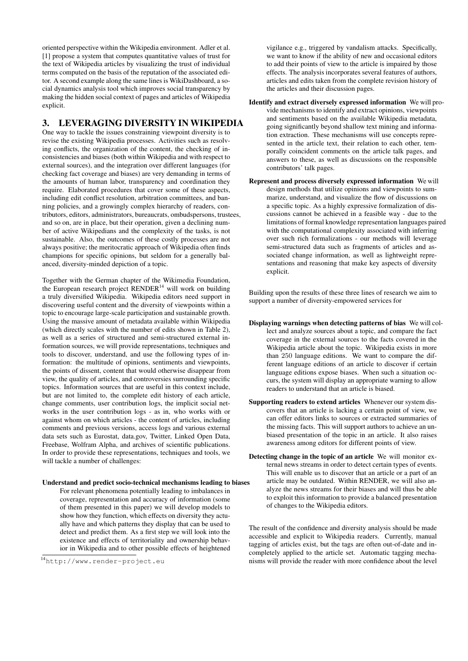oriented perspective within the Wikipedia environment. Adler et al. [\[1\]](#page-6-20) propose a system that computes quantitative values of trust for the text of Wikipedia articles by visualizing the trust of individual terms computed on the basis of the reputation of the associated editor. A second example along the same lines is WikiDashboard, a social dynamics analysis tool which improves social transparency by making the hidden social context of pages and articles of Wikipedia explicit.

# 3. LEVERAGING DIVERSITY IN WIKIPEDIA

One way to tackle the issues constraining viewpoint diversity is to revise the existing Wikipedia processes. Activities such as resolving conflicts, the organization of the content, the checking of inconsistencies and biases (both within Wikipedia and with respect to external sources), and the integration over different languages (for checking fact coverage and biases) are very demanding in terms of the amounts of human labor, transparency and coordination they require. Elaborated procedures that cover some of these aspects, including edit conflict resolution, arbitration committees, and banning policies, and a growingly complex hierarchy of readers, contributors, editors, administrators, bureaucrats, ombudspersons, trustees, and so on, are in place, but their operation, given a declining number of active Wikipedians and the complexity of the tasks, is not sustainable. Also, the outcomes of these costly processes are not always positive; the meritocratic approach of Wikipedia often finds champions for specific opinions, but seldom for a generally balanced, diversity-minded depiction of a topic.

Together with the German chapter of the Wikimedia Foundation, the European research project  $\text{RENDER}^{14}$  will work on building a truly diversified Wikipedia. Wikipedia editors need support in discovering useful content and the diversity of viewpoints within a topic to encourage large-scale participation and sustainable growth. Using the massive amount of metadata available within Wikipedia (which directly scales with the number of edits shown in Table [2\)](#page-3-1), as well as a series of structured and semi-structured external information sources, we will provide representations, techniques and tools to discover, understand, and use the following types of information: the multitude of opinions, sentiments and viewpoints, the points of dissent, content that would otherwise disappear from view, the quality of articles, and controversies surrounding specific topics. Information sources that are useful in this context include, but are not limited to, the complete edit history of each article, change comments, user contribution logs, the implicit social networks in the user contribution logs - as in, who works with or against whom on which articles - the content of articles, including comments and previous versions, access logs and various external data sets such as Eurostat, data.gov, Twitter, Linked Open Data, Freebase, Wolfram Alpha, and archives of scientific publications. In order to provide these representations, techniques and tools, we will tackle a number of challenges:

#### Understand and predict socio-technical mechanisms leading to biases

For relevant phenomena potentially leading to imbalances in coverage, representation and accuracy of information (some of them presented in this paper) we will develop models to show how they function, which effects on diversity they actually have and which patterns they display that can be used to detect and predict them. As a first step we will look into the existence and effects of territoriality and ownership behavior in Wikipedia and to other possible effects of heightened vigilance e.g., triggered by vandalism attacks. Specifically, we want to know if the ability of new and occasional editors to add their points of view to the article is impaired by those effects. The analysis incorporates several features of authors, articles and edits taken from the complete revision history of the articles and their discussion pages.

- Identify and extract diversely expressed information We will provide mechanisms to identify and extract opinions, viewpoints and sentiments based on the available Wikipedia metadata, going significantly beyond shallow text mining and information extraction. These mechanisms will use concepts represented in the article text, their relation to each other, temporally coincident comments on the article talk pages, and answers to these, as well as discussions on the responsible contributors' talk pages.
- Represent and process diversely expressed information We will design methods that utilize opinions and viewpoints to summarize, understand, and visualize the flow of discussions on a specific topic. As a highly expressive formalization of discussions cannot be achieved in a feasible way - due to the limitations of formal knowledge representation languages paired with the computational complexity associated with inferring over such rich formalizations - our methods will leverage semi-structured data such as fragments of articles and associated change information, as well as lightweight representations and reasoning that make key aspects of diversity explicit.

Building upon the results of these three lines of research we aim to support a number of diversity-empowered services for

- Displaying warnings when detecting patterns of bias We will collect and analyze sources about a topic, and compare the fact coverage in the external sources to the facts covered in the Wikipedia article about the topic. Wikipedia exists in more than 250 language editions. We want to compare the different language editions of an article to discover if certain language editions expose biases. When such a situation occurs, the system will display an appropriate warning to allow readers to understand that an article is biased.
- Supporting readers to extend articles Whenever our system discovers that an article is lacking a certain point of view, we can offer editors links to sources or extracted summaries of the missing facts. This will support authors to achieve an unbiased presentation of the topic in an article. It also raises awareness among editors for different points of view.
- Detecting change in the topic of an article We will monitor external news streams in order to detect certain types of events. This will enable us to discover that an article or a part of an article may be outdated. Within RENDER, we will also analyze the news streams for their biases and will thus be able to exploit this information to provide a balanced presentation of changes to the Wikipedia editors.

The result of the confidence and diversity analysis should be made accessible and explicit to Wikipedia readers. Currently, manual tagging of articles exist, but the tags are often out-of-date and incompletely applied to the article set. Automatic tagging mechanisms will provide the reader with more confidence about the level

<span id="page-5-0"></span><sup>14</sup><http://www.render-project.eu>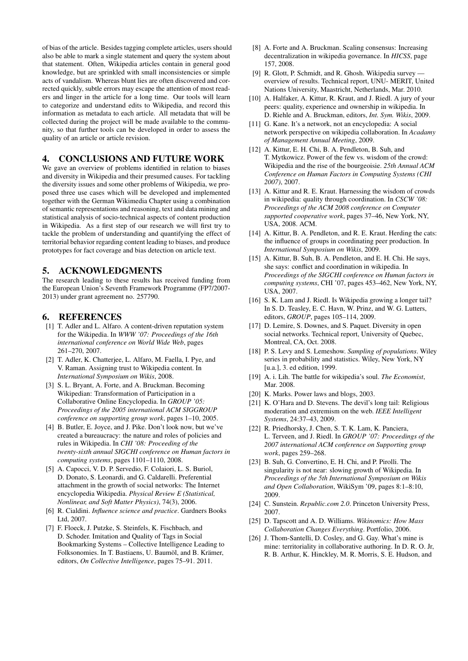of bias of the article. Besides tagging complete articles, users should also be able to mark a single statement and query the system about that statement. Often, Wikipedia articles contain in general good knowledge, but are sprinkled with small inconsistencies or simple acts of vandalism. Whereas blunt lies are often discovered and corrected quickly, subtle errors may escape the attention of most readers and linger in the article for a long time. Our tools will learn to categorize and understand edits to Wikipedia, and record this information as metadata to each article. All metadata that will be collected during the project will be made available to the community, so that further tools can be developed in order to assess the quality of an article or article revision.

## 4. CONCLUSIONS AND FUTURE WORK

We gave an overview of problems identified in relation to biases and diversity in Wikipedia and their presumed causes. For tackling the diversity issues and some other problems of Wikipedia, we proposed three use cases which will be developed and implemented together with the German Wikimedia Chapter using a combination of semantic representations and reasoning, text and data mining and statistical analysis of socio-technical aspects of content production in Wikipedia. As a first step of our research we will first try to tackle the problem of understanding and quantifying the effect of territorial behavior regarding content leading to biases, and produce prototypes for fact coverage and bias detection on article text.

# 5. ACKNOWLEDGMENTS

The research leading to these results has received funding from the European Union's Seventh Framework Programme (FP7/2007- 2013) under grant agreement no. 257790.

## 6. REFERENCES

- <span id="page-6-20"></span>[1] T. Adler and L. Alfaro. A content-driven reputation system for the Wikipedia. In *WWW '07: Proceedings of the 16th international conference on World Wide Web*, pages 261–270, 2007.
- <span id="page-6-21"></span>[2] T. Adler, K. Chatteriee, L. Alfaro, M. Faella, I. Pye, and V. Raman. Assigning trust to Wikipedia content. In *International Symposium on Wikis*, 2008.
- <span id="page-6-24"></span>[3] S. L. Brvant, A. Forte, and A. Bruckman, Becoming Wikipedian: Transformation of Participation in a Collaborative Online Encyclopedia. In *GROUP '05: Proceedings of the 2005 international ACM SIGGROUP conference on supporting group work*, pages 1–10, 2005.
- <span id="page-6-16"></span>[4] B. Butler, E. Joyce, and J. Pike. Don't look now, but we've created a bureaucracy: the nature and roles of policies and rules in Wikipedia. In *CHI '08: Proceeding of the twenty-sixth annual SIGCHI conference on Human factors in computing systems*, pages 1101–1110, 2008.
- <span id="page-6-14"></span>[5] A. Capocci, V. D. P. Servedio, F. Colaiori, L. S. Buriol, D. Donato, S. Leonardi, and G. Caldarelli. Preferential attachment in the growth of social networks: The Internet encyclopedia Wikipedia. *Physical Review E (Statistical, Nonlinear, and Soft Matter Physics)*, 74(3), 2006.
- <span id="page-6-22"></span>[6] R. Cialdini. *Influence science and practice*. Gardners Books Ltd, 2007.
- <span id="page-6-23"></span>[7] F. Floeck, J. Putzke, S. Steinfels, K. Fischbach, and D. Schoder. Imitation and Quality of Tags in Social Bookmarking Systems – Collective Intelligence Leading to Folksonomies. In T. Bastiaens, U. Baumöl, and B. Krämer, editors, *On Collective Intelligence*, pages 75–91. 2011.
- <span id="page-6-17"></span>[8] A. Forte and A. Bruckman. Scaling consensus: Increasing decentralization in wikipedia governance. In *HICSS*, page 157, 2008.
- <span id="page-6-4"></span>[9] R. Glott, P. Schmidt, and R. Ghosh. Wikipedia survey overview of results. Technical report, UNU- MERIT, United Nations University, Maastricht, Netherlands, Mar. 2010.
- <span id="page-6-19"></span>[10] A. Halfaker, A. Kittur, R. Kraut, and J. Riedl. A jury of your peers: quality, experience and ownership in wikipedia. In D. Riehle and A. Bruckman, editors, *Int. Sym. Wikis*, 2009.
- <span id="page-6-11"></span>[11] G. Kane. It's a network, not an encyclopedia: A social network perspective on wikipedia collaboration. In *Acadamy of Management Annual Meeting*, 2009.
- <span id="page-6-7"></span>[12] A. Kittur, E. H. Chi, B. A. Pendleton, B. Suh, and T. Mytkowicz. Power of the few vs. wisdom of the crowd: Wikipedia and the rise of the bourgeoisie. *25th Annual ACM Conference on Human Factors in Computing Systems (CHI 2007)*, 2007.
- <span id="page-6-12"></span>[13] A. Kittur and R. E. Kraut. Harnessing the wisdom of crowds in wikipedia: quality through coordination. In *CSCW '08: Proceedings of the ACM 2008 conference on Computer supported cooperative work*, pages 37–46, New York, NY, USA, 2008. ACM.
- <span id="page-6-13"></span>[14] A. Kittur, B. A. Pendleton, and R. E. Kraut. Herding the cats: the influence of groups in coordinating peer production. In *International Symposium on Wikis*, 2009.
- <span id="page-6-15"></span>[15] A. Kittur, B. Suh, B. A. Pendleton, and E. H. Chi. He says, she says: conflict and coordination in wikipedia. In *Proceedings of the SIGCHI conference on Human factors in computing systems*, CHI '07, pages 453–462, New York, NY, USA, 2007.
- <span id="page-6-10"></span>[16] S. K. Lam and J. Riedl. Is Wikipedia growing a longer tail? In S. D. Teasley, E. C. Havn, W. Prinz, and W. G. Lutters, editors, *GROUP*, pages 105–114, 2009.
- <span id="page-6-5"></span>[17] D. Lemire, S. Downes, and S. Paquet. Diversity in open social networks. Technical report, University of Quebec, Montreal, CA, Oct. 2008.
- <span id="page-6-3"></span>[18] P. S. Levy and S. Lemeshow. *Sampling of populations*. Wiley series in probability and statistics. Wiley, New York, NY [u.a.], 3. ed edition, 1999.
- <span id="page-6-18"></span>[19] A. i. Lih. The battle for wikipedia's soul. *The Economist*, Mar. 2008.
- <span id="page-6-6"></span>[20] K. Marks. Power laws and blogs, 2003.
- <span id="page-6-2"></span>[21] K. O'Hara and D. Stevens. The devil's long tail: Religious moderation and extremism on the web. *IEEE Intelligent Systems*, 24:37–43, 2009.
- <span id="page-6-8"></span>[22] R. Priedhorsky, J. Chen, S. T. K. Lam, K. Panciera, L. Terveen, and J. Riedl. In *GROUP '07: Proceedings of the 2007 international ACM conference on Supporting group work*, pages 259–268.
- <span id="page-6-9"></span>[23] B. Suh, G. Convertino, E. H. Chi, and P. Pirolli. The singularity is not near: slowing growth of Wikipedia. In *Proceedings of the 5th International Symposium on Wikis and Open Collaboration*, WikiSym '09, pages 8:1–8:10, 2009.
- <span id="page-6-1"></span>[24] C. Sunstein. *Republic.com 2.0*. Princeton University Press, 2007.
- <span id="page-6-0"></span>[25] D. Tapscott and A. D. Williams. *Wikinomics: How Mass Collaboration Changes Everything*. Portfolio, 2006.
- <span id="page-6-25"></span>[26] J. Thom-Santelli, D. Cosley, and G. Gay. What's mine is mine: territoriality in collaborative authoring. In D. R. O. Jr, R. B. Arthur, K. Hinckley, M. R. Morris, S. E. Hudson, and